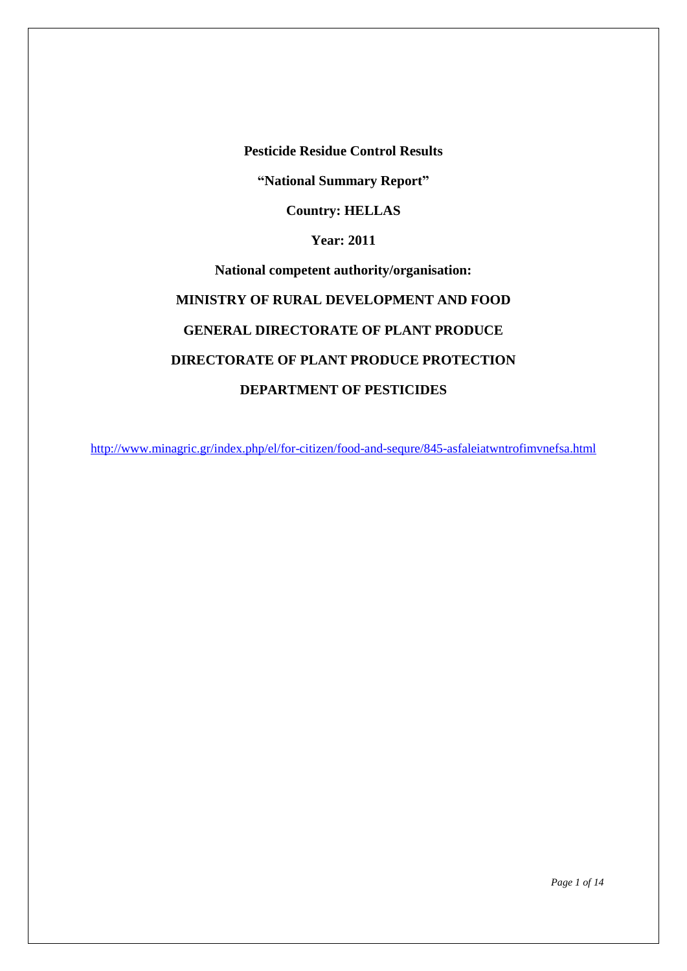**Pesticide Residue Control Results**

**"National Summary Report"**

**Country: HELLAS**

**Year: 2011**

**National competent authority/organisation: MINISTRY OF RURAL DEVELOPMENT AND FOOD GENERAL DIRECTORATE OF PLANT PRODUCE DIRECTORATE OF PLANT PRODUCE PROTECTION DEPARTMENT OF PESTICIDES**

<http://www.minagric.gr/index.php/el/for-citizen/food-and-sequre/845-asfaleiatwntrofimvnefsa.html>

*Page 1 of 14*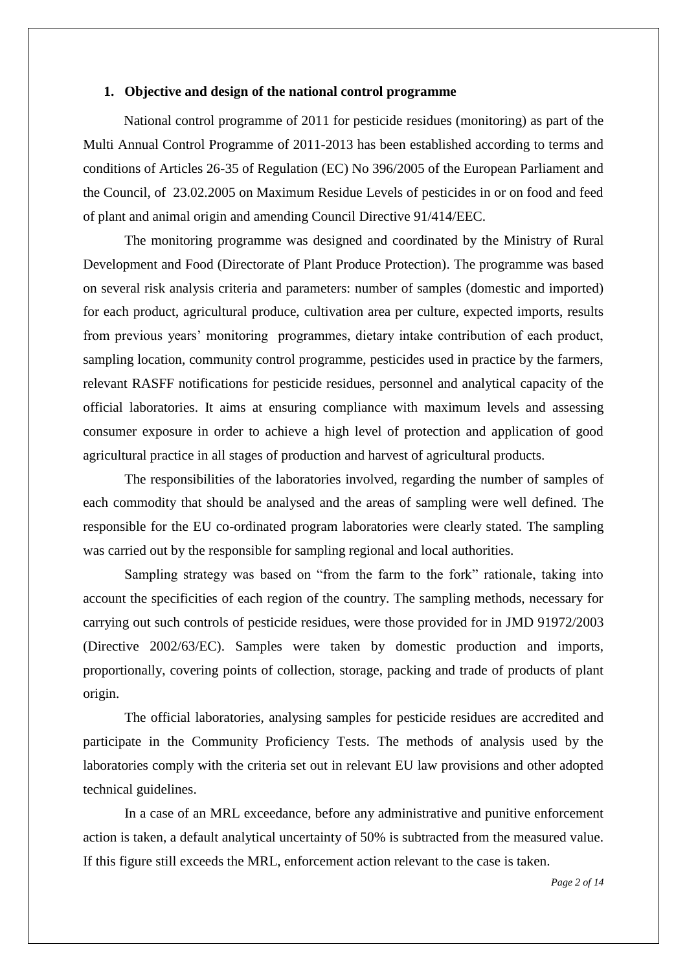#### **1. Objective and design of the national control programme**

National control programme of 2011 for pesticide residues (monitoring) as part of the Multi Annual Control Programme of 2011-2013 has been established according to terms and conditions of Articles 26-35 of Regulation (EC) No 396/2005 of the European Parliament and the Council, of 23.02.2005 on Maximum Residue Levels of pesticides in or on food and feed of plant and animal origin and amending Council Directive 91/414/EEC.

The monitoring programme was designed and coordinated by the Ministry of Rural Development and Food (Directorate of Plant Produce Protection). The programme was based on several risk analysis criteria and parameters: number of samples (domestic and imported) for each product, agricultural produce, cultivation area per culture, expected imports, results from previous years' monitoring programmes, dietary intake contribution of each product, sampling location, community control programme, pesticides used in practice by the farmers, relevant RASFF notifications for pesticide residues, personnel and analytical capacity of the official laboratories. It aims at ensuring compliance with maximum levels and assessing consumer exposure in order to achieve a high level of protection and application of good agricultural practice in all stages of production and harvest of agricultural products.

The responsibilities of the laboratories involved, regarding the number of samples of each commodity that should be analysed and the areas of sampling were well defined. The responsible for the EU co-ordinated program laboratories were clearly stated. The sampling was carried out by the responsible for sampling regional and local authorities.

Sampling strategy was based on "from the farm to the fork" rationale, taking into account the specificities of each region of the country. The sampling methods, necessary for carrying out such controls of pesticide residues, were those provided for in JMD 91972/2003 (Directive 2002/63/EC). Samples were taken by domestic production and imports, proportionally, covering points of collection, storage, packing and trade of products of plant origin.

The official laboratories, analysing samples for pesticide residues are accredited and participate in the Community Proficiency Tests. The methods of analysis used by the laboratories comply with the criteria set out in relevant EU law provisions and other adopted technical guidelines.

In a case of an MRL exceedance, before any administrative and punitive enforcement action is taken, a default analytical uncertainty of 50% is subtracted from the measured value. If this figure still exceeds the MRL, enforcement action relevant to the case is taken.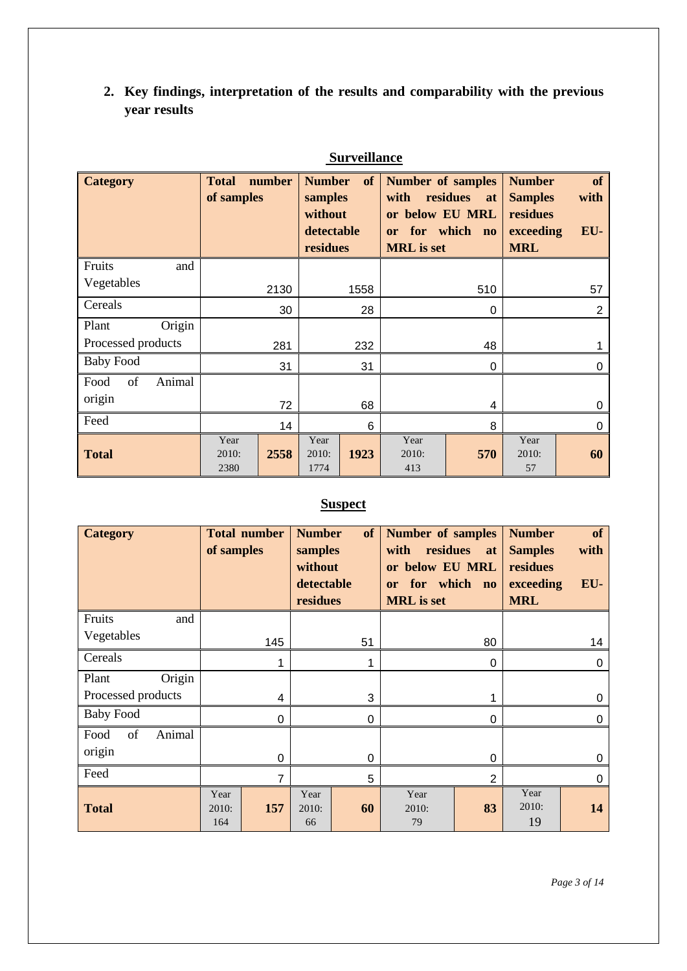**2. Key findings, interpretation of the results and comparability with the previous year results**

| <b>Category</b>      | <b>Total</b><br>of samples | number | <b>Number</b><br>samples<br>without<br>detectable<br>residues | of   | <b>Number of samples</b><br>with<br>or below EU MRL<br>or<br><b>MRL</b> is set | residues<br><b>at</b><br>for which no | <b>Number</b><br><b>Samples</b><br>residues<br>exceeding<br><b>MRL</b> | of<br>with<br>EU- |
|----------------------|----------------------------|--------|---------------------------------------------------------------|------|--------------------------------------------------------------------------------|---------------------------------------|------------------------------------------------------------------------|-------------------|
| Fruits<br>and        |                            |        |                                                               |      |                                                                                |                                       |                                                                        |                   |
| Vegetables           |                            | 2130   |                                                               | 1558 |                                                                                | 510                                   |                                                                        | 57                |
| Cereals              |                            | 30     |                                                               | 28   |                                                                                | 0                                     |                                                                        | 2                 |
| Origin<br>Plant      |                            |        |                                                               |      |                                                                                |                                       |                                                                        |                   |
| Processed products   |                            | 281    |                                                               | 232  |                                                                                | 48                                    |                                                                        |                   |
| <b>Baby Food</b>     |                            | 31     |                                                               | 31   |                                                                                | 0                                     |                                                                        | 0                 |
| of<br>Animal<br>Food |                            |        |                                                               |      |                                                                                |                                       |                                                                        |                   |
| origin               |                            | 72     |                                                               | 68   |                                                                                | 4                                     |                                                                        | 0                 |
| Feed                 |                            | 14     |                                                               | 6    |                                                                                | 8                                     |                                                                        | 0                 |
| <b>Total</b>         | Year<br>2010:<br>2380      | 2558   | Year<br>2010:<br>1774                                         | 1923 | Year<br>2010:<br>413                                                           | 570                                   | Year<br>2010:<br>57                                                    | 60                |

### **Surveillance**

# **Suspect**

| <b>Category</b>      | of samples           | <b>Total number</b> | <b>Number</b><br>samples<br>without<br>detectable<br>residues | of       | Number of samples<br>residues<br>with<br>or below EU MRL<br>for which no<br>or<br><b>MRL</b> is set | at             | <b>Number</b><br><b>Samples</b><br>residues<br>exceeding<br><b>MRL</b> | of<br>with<br>EU- |
|----------------------|----------------------|---------------------|---------------------------------------------------------------|----------|-----------------------------------------------------------------------------------------------------|----------------|------------------------------------------------------------------------|-------------------|
| Fruits<br>and        |                      |                     |                                                               |          |                                                                                                     |                |                                                                        |                   |
| Vegetables           |                      | 145                 |                                                               | 51       |                                                                                                     | 80             |                                                                        | 14                |
| Cereals              |                      | 1                   |                                                               |          |                                                                                                     | 0              |                                                                        | $\Omega$          |
| Origin<br>Plant      |                      |                     |                                                               |          |                                                                                                     |                |                                                                        |                   |
| Processed products   |                      | 4                   |                                                               | 3        |                                                                                                     |                |                                                                        | 0                 |
| <b>Baby Food</b>     |                      | $\mathbf 0$         |                                                               | 0        |                                                                                                     | 0              |                                                                        | 0                 |
| Animal<br>Food<br>of |                      |                     |                                                               |          |                                                                                                     |                |                                                                        |                   |
| origin               |                      | 0                   |                                                               | $\Omega$ |                                                                                                     | $\Omega$       |                                                                        | 0                 |
| Feed                 |                      | 7                   |                                                               | 5        |                                                                                                     | $\overline{2}$ |                                                                        | 0                 |
| <b>Total</b>         | Year<br>2010:<br>164 | 157                 | Year<br>2010:<br>66                                           | 60       | Year<br>2010:<br>79                                                                                 | 83             | Year<br>2010:<br>19                                                    | 14                |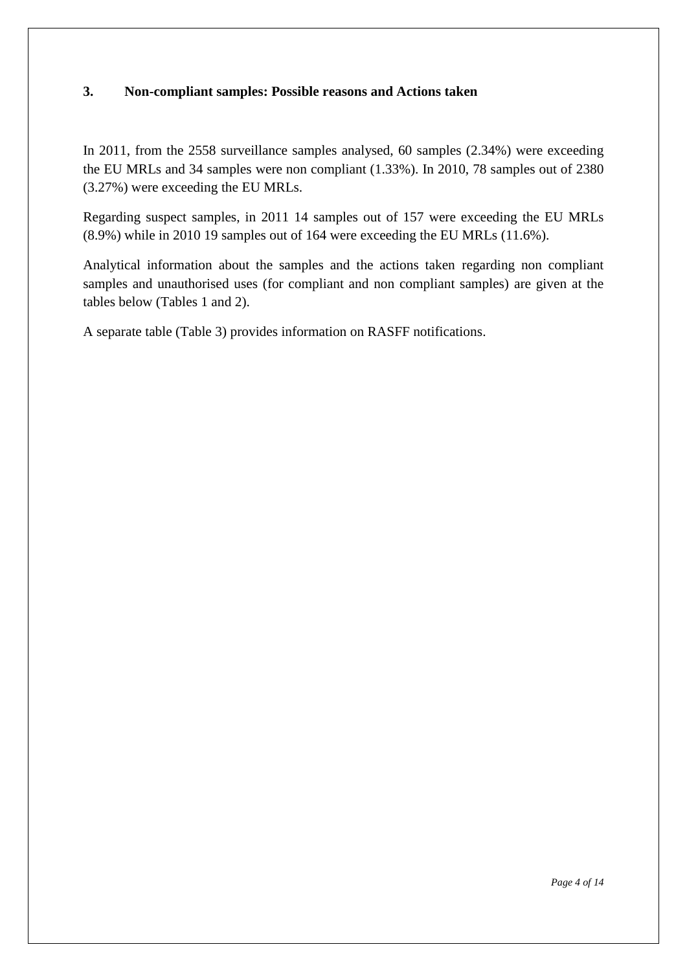### **3. Non-compliant samples: Possible reasons and Actions taken**

In 2011, from the 2558 surveillance samples analysed, 60 samples (2.34%) were exceeding the EU MRLs and 34 samples were non compliant (1.33%). In 2010, 78 samples out of 2380 (3.27%) were exceeding the EU MRLs.

Regarding suspect samples, in 2011 14 samples out of 157 were exceeding the EU MRLs (8.9%) while in 2010 19 samples out of 164 were exceeding the EU MRLs (11.6%).

Analytical information about the samples and the actions taken regarding non compliant samples and unauthorised uses (for compliant and non compliant samples) are given at the tables below (Tables 1 and 2).

A separate table (Table 3) provides information on RASFF notifications.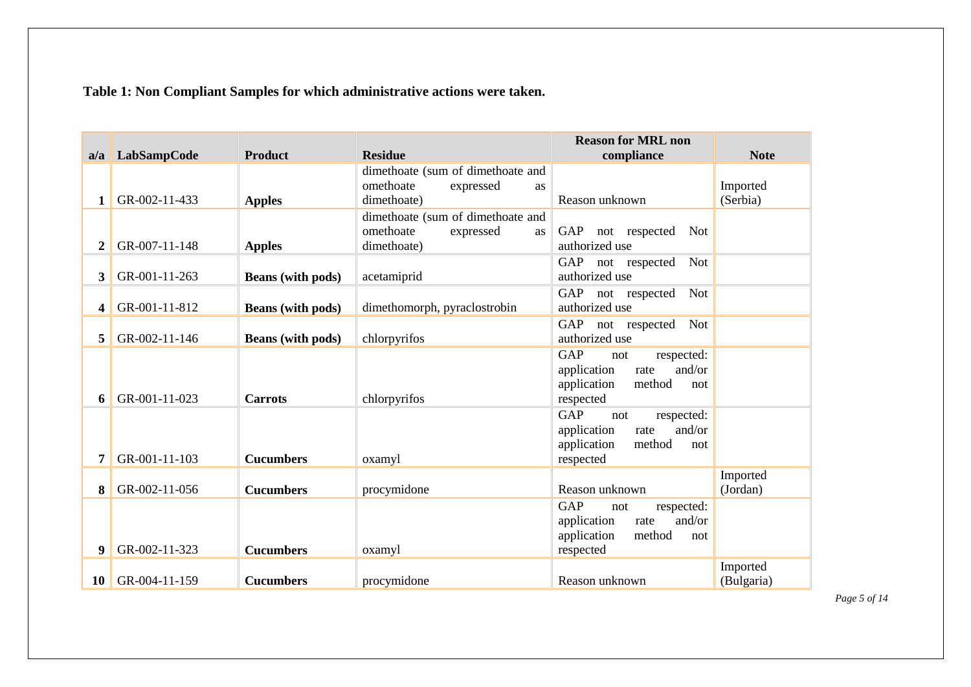**Table 1: Non Compliant Samples for which administrative actions were taken.**

|                |               |                          |                                                | <b>Reason for MRL non</b>                           |                      |
|----------------|---------------|--------------------------|------------------------------------------------|-----------------------------------------------------|----------------------|
| a/a            | LabSampCode   | <b>Product</b>           | <b>Residue</b>                                 | compliance                                          | <b>Note</b>          |
|                |               |                          | dimethoate (sum of dimethoate and<br>omethoate |                                                     |                      |
| 1              | GR-002-11-433 | <b>Apples</b>            | expressed<br>as<br>dimethoate)                 | Reason unknown                                      | Imported<br>(Serbia) |
|                |               |                          | dimethoate (sum of dimethoate and              |                                                     |                      |
|                |               |                          | omethoate<br>expressed<br>as                   | GAP<br>not respected<br>Not                         |                      |
| $\overline{2}$ | GR-007-11-148 | <b>Apples</b>            | dimethoate)                                    | authorized use                                      |                      |
|                |               |                          |                                                | Not<br>GAP<br>not respected                         |                      |
| 3              | GR-001-11-263 | <b>Beans</b> (with pods) | acetamiprid                                    | authorized use                                      |                      |
|                |               |                          |                                                | GAP<br>Not<br>not respected                         |                      |
| 4              | GR-001-11-812 | <b>Beans</b> (with pods) | dimethomorph, pyraclostrobin                   | authorized use                                      |                      |
|                |               |                          |                                                | Not<br>GAP<br>not respected                         |                      |
| 5              | GR-002-11-146 | <b>Beans</b> (with pods) | chlorpyrifos                                   | authorized use                                      |                      |
|                |               |                          |                                                | GAP<br>respected:<br>not                            |                      |
|                |               |                          |                                                | and/or<br>application<br>rate                       |                      |
|                |               |                          |                                                | application<br>method<br>not                        |                      |
| 6              | GR-001-11-023 | <b>Carrots</b>           | chlorpyrifos                                   | respected                                           |                      |
|                |               |                          |                                                | <b>GAP</b><br>respected:<br>not                     |                      |
|                |               |                          |                                                | and/or<br>application<br>rate                       |                      |
|                |               |                          |                                                | application<br>method<br>not                        |                      |
| 7              | GR-001-11-103 | <b>Cucumbers</b>         | oxamyl                                         | respected                                           |                      |
|                | GR-002-11-056 | <b>Cucumbers</b>         |                                                | Reason unknown                                      | Imported             |
| 8              |               |                          | procymidone                                    |                                                     | (Jordan)             |
|                |               |                          |                                                | <b>GAP</b><br>respected:<br>not<br>and/or           |                      |
|                |               |                          |                                                | application<br>rate<br>application<br>method<br>not |                      |
| 9              | GR-002-11-323 | <b>Cucumbers</b>         | oxamyl                                         | respected                                           |                      |
|                |               |                          |                                                |                                                     | Imported             |
| 10             | GR-004-11-159 | <b>Cucumbers</b>         | procymidone                                    | Reason unknown                                      | (Bulgaria)           |

*Page 5 of 14*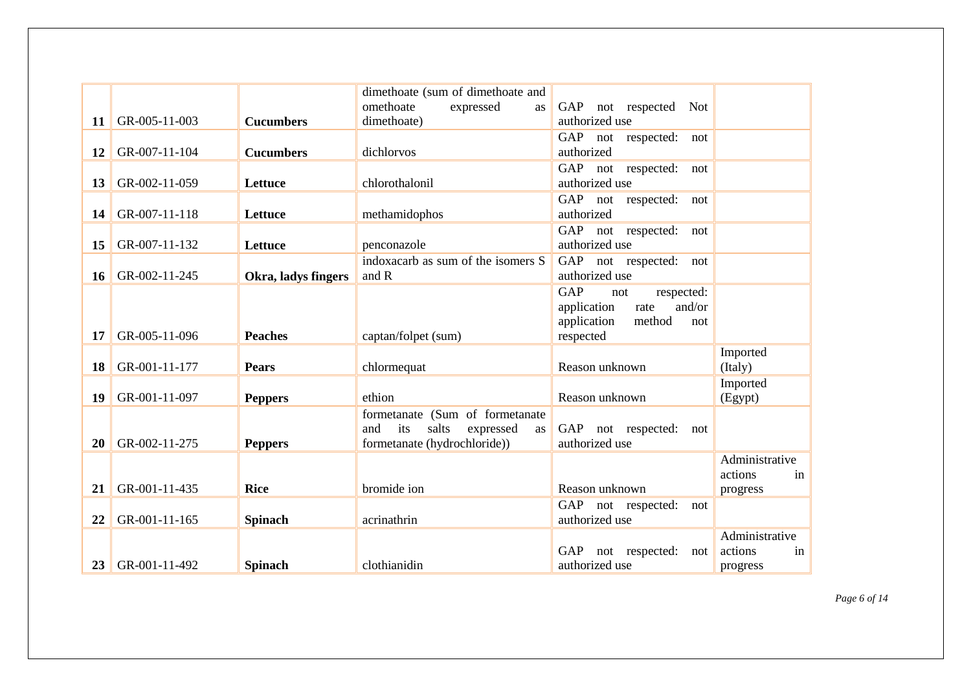|    |               |                     | dimethoate (sum of dimethoate and      |                                 |                |
|----|---------------|---------------------|----------------------------------------|---------------------------------|----------------|
|    |               |                     | omethoate<br>expressed<br>as           | GAP not respected<br><b>Not</b> |                |
| 11 | GR-005-11-003 | <b>Cucumbers</b>    | dimethoate)                            | authorized use                  |                |
|    |               |                     |                                        | GAP not respected:<br>not       |                |
| 12 | GR-007-11-104 | <b>Cucumbers</b>    | dichlorvos                             | authorized                      |                |
|    |               |                     |                                        | GAP not respected:<br>not       |                |
| 13 | GR-002-11-059 | Lettuce             | chlorothalonil                         | authorized use                  |                |
|    |               |                     |                                        | GAP not respected:<br>not       |                |
| 14 | GR-007-11-118 | Lettuce             | methamidophos                          | authorized                      |                |
|    |               |                     |                                        | GAP not respected:<br>not       |                |
| 15 | GR-007-11-132 | Lettuce             | penconazole                            | authorized use                  |                |
|    |               |                     | indoxacarb as sum of the isomers S     | GAP not respected:<br>not       |                |
| 16 | GR-002-11-245 | Okra, ladys fingers | and R                                  | authorized use                  |                |
|    |               |                     |                                        | GAP<br>respected:<br>not        |                |
|    |               |                     |                                        | and/or<br>application<br>rate   |                |
|    |               |                     |                                        | application<br>method<br>not    |                |
| 17 | GR-005-11-096 | <b>Peaches</b>      | captan/folpet (sum)                    | respected                       |                |
|    |               |                     |                                        |                                 | Imported       |
| 18 | GR-001-11-177 | <b>Pears</b>        | chlormequat                            | Reason unknown                  | (Italy)        |
|    |               |                     |                                        |                                 | Imported       |
| 19 | GR-001-11-097 | <b>Peppers</b>      | ethion                                 | Reason unknown                  | (Egypt)        |
|    |               |                     | formetanate (Sum of formetanate        |                                 |                |
|    |               |                     | and<br>its<br>salts<br>expressed<br>as | GAP not respected:<br>not       |                |
| 20 | GR-002-11-275 | <b>Peppers</b>      | formetanate (hydrochloride))           | authorized use                  |                |
|    |               |                     |                                        |                                 | Administrative |
|    |               |                     |                                        |                                 | actions<br>in  |
| 21 | GR-001-11-435 | <b>Rice</b>         | bromide ion                            | Reason unknown                  | progress       |
|    |               |                     |                                        | GAP not respected:<br>not       |                |
| 22 | GR-001-11-165 | <b>Spinach</b>      | acrinathrin                            | authorized use                  |                |
|    |               |                     |                                        |                                 | Administrative |
|    |               |                     |                                        | GAP<br>not respected:<br>not    | actions<br>in  |
| 23 | GR-001-11-492 | <b>Spinach</b>      | clothianidin                           | authorized use                  | progress       |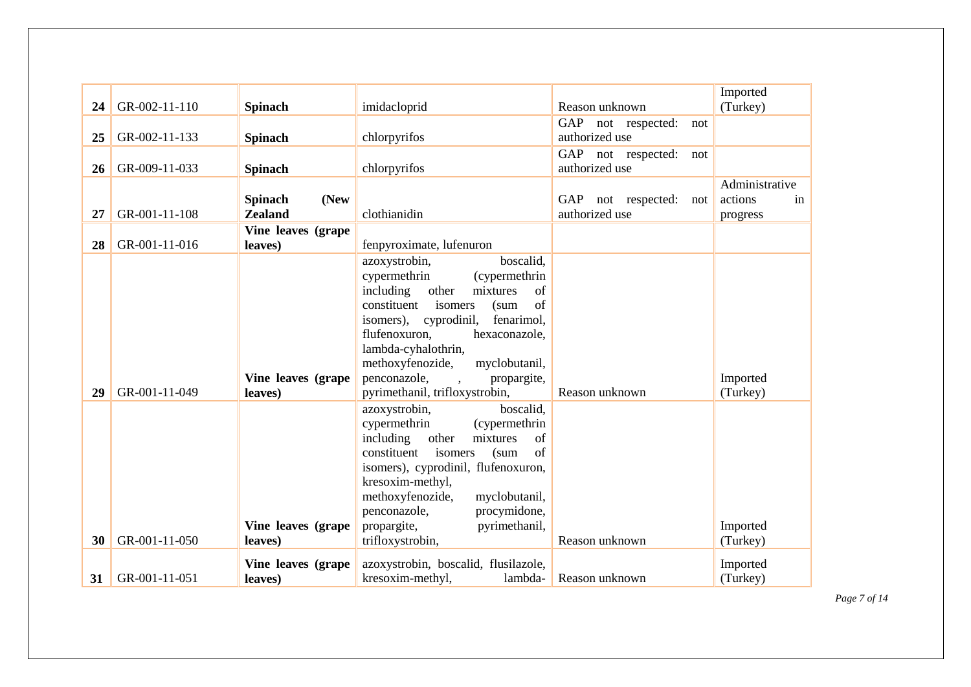| 24 | GR-002-11-110 | <b>Spinach</b>                           | imidacloprid                                                                                                                                                                                                                                                                                                                     | Reason unknown                              | Imported<br>(Turkey)                        |
|----|---------------|------------------------------------------|----------------------------------------------------------------------------------------------------------------------------------------------------------------------------------------------------------------------------------------------------------------------------------------------------------------------------------|---------------------------------------------|---------------------------------------------|
| 25 | GR-002-11-133 | <b>Spinach</b>                           | chlorpyrifos                                                                                                                                                                                                                                                                                                                     | GAP not respected:<br>not<br>authorized use |                                             |
| 26 | GR-009-11-033 | <b>Spinach</b>                           | chlorpyrifos                                                                                                                                                                                                                                                                                                                     | GAP not respected:<br>not<br>authorized use |                                             |
| 27 | GR-001-11-108 | (New<br><b>Spinach</b><br><b>Zealand</b> | clothianidin                                                                                                                                                                                                                                                                                                                     | GAP not respected:<br>not<br>authorized use | Administrative<br>actions<br>in<br>progress |
| 28 | GR-001-11-016 | Vine leaves (grape<br>leaves)            | fenpyroximate, lufenuron                                                                                                                                                                                                                                                                                                         |                                             |                                             |
|    |               | Vine leaves (grape                       | boscalid.<br>azoxystrobin,<br>cypermethrin<br>(cypermethrin<br>including<br>other<br>mixtures<br>of<br>of<br>constituent<br>isomers<br>(sum)<br>isomers), cyprodinil,<br>fenarimol.<br>flufenoxuron,<br>hexaconazole,<br>lambda-cyhalothrin,<br>methoxyfenozide,<br>myclobutanil,<br>penconazole,<br>propargite,<br>$\sim$       |                                             | Imported                                    |
| 29 | GR-001-11-049 | leaves)                                  | pyrimethanil, trifloxystrobin,                                                                                                                                                                                                                                                                                                   | Reason unknown                              | (Turkey)                                    |
| 30 | GR-001-11-050 | Vine leaves (grape<br>leaves)            | azoxystrobin,<br>boscalid,<br>cypermethrin<br>(cypermethrin<br>including<br>other<br>mixtures<br>of<br>constituent<br>isomers<br>of<br>(sum)<br>isomers), cyprodinil, flufenoxuron,<br>kresoxim-methyl,<br>methoxyfenozide,<br>myclobutanil,<br>penconazole,<br>procymidone,<br>propargite,<br>pyrimethanil,<br>trifloxystrobin, | Reason unknown                              | Imported<br>(Turkey)                        |
| 31 | GR-001-11-051 | Vine leaves (grape<br>leaves)            | azoxystrobin, boscalid, flusilazole,<br>kresoxim-methyl,<br>lambda-                                                                                                                                                                                                                                                              | Reason unknown                              | Imported<br>(Turkey)                        |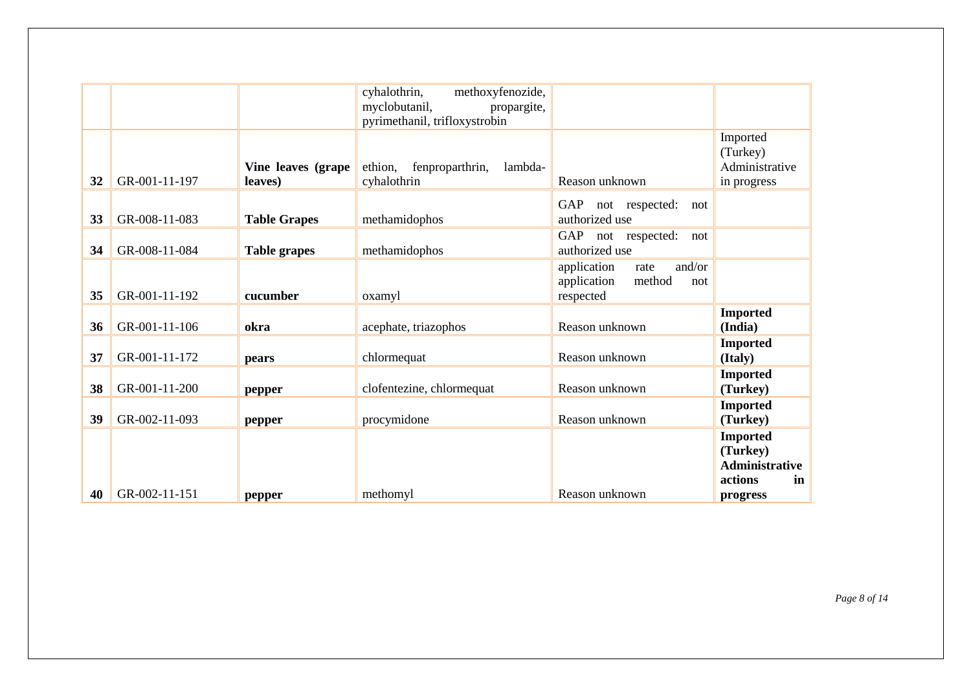|    |               |                               | cyhalothrin,<br>methoxyfenozide,      |                               |                            |
|----|---------------|-------------------------------|---------------------------------------|-------------------------------|----------------------------|
|    |               |                               | myclobutanil,<br>propargite,          |                               |                            |
|    |               |                               | pyrimethanil, trifloxystrobin         |                               |                            |
|    |               |                               |                                       |                               | Imported                   |
|    |               |                               | ethion,<br>fenproparthrin,<br>lambda- |                               | (Turkey)<br>Administrative |
| 32 | GR-001-11-197 | Vine leaves (grape<br>leaves) | cyhalothrin                           | Reason unknown                |                            |
|    |               |                               |                                       |                               | in progress                |
|    |               |                               |                                       | GAP<br>not respected:<br>not  |                            |
| 33 | GR-008-11-083 | <b>Table Grapes</b>           | methamidophos                         | authorized use                |                            |
|    |               |                               |                                       | GAP not respected:<br>not     |                            |
| 34 | GR-008-11-084 | <b>Table grapes</b>           | methamidophos                         | authorized use                |                            |
|    |               |                               |                                       | and/or<br>application<br>rate |                            |
|    |               |                               |                                       | method<br>application<br>not  |                            |
| 35 | GR-001-11-192 | cucumber                      | oxamyl                                | respected                     |                            |
|    |               |                               |                                       |                               | <b>Imported</b>            |
| 36 | GR-001-11-106 | okra                          | acephate, triazophos                  | Reason unknown                | (India)                    |
|    |               |                               |                                       |                               | <b>Imported</b>            |
| 37 | GR-001-11-172 | pears                         | chlormequat                           | Reason unknown                | (Italy)                    |
|    |               |                               |                                       |                               | <b>Imported</b>            |
| 38 | GR-001-11-200 | pepper                        | clofentezine, chlormequat             | Reason unknown                | (Turkey)                   |
|    |               |                               |                                       |                               | <b>Imported</b>            |
| 39 | GR-002-11-093 | pepper                        | procymidone                           | Reason unknown                | (Turkey)                   |
|    |               |                               |                                       |                               | <b>Imported</b>            |
|    |               |                               |                                       |                               | (Turkey)                   |
|    |               |                               |                                       |                               | <b>Administrative</b>      |
|    |               |                               |                                       |                               | actions<br>in              |
| 40 | GR-002-11-151 | pepper                        | methomyl                              | Reason unknown                | progress                   |

*Page 8 of 14*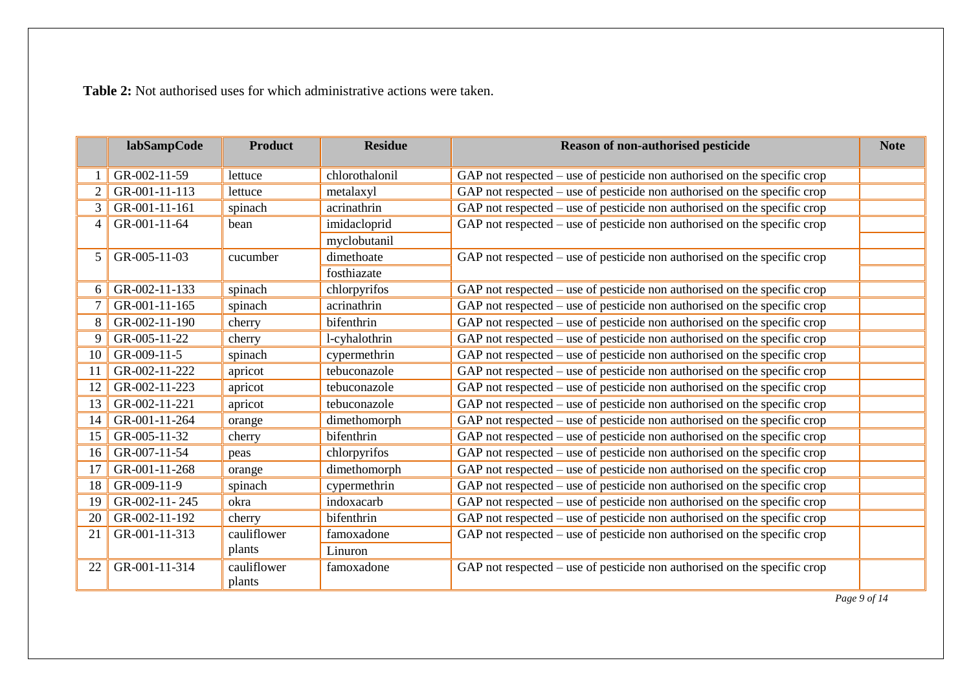**Table 2:** Not authorised uses for which administrative actions were taken.

|                 | labSampCode   | <b>Product</b>        | <b>Residue</b> | <b>Reason of non-authorised pesticide</b>                                  | <b>Note</b> |
|-----------------|---------------|-----------------------|----------------|----------------------------------------------------------------------------|-------------|
|                 | GR-002-11-59  | lettuce               | chlorothalonil | GAP not respected – use of pesticide non authorised on the specific crop   |             |
| 2               | GR-001-11-113 | lettuce               | metalaxyl      | GAP not respected $-$ use of pesticide non authorised on the specific crop |             |
| 3               | GR-001-11-161 | spinach               | acrinathrin    | GAP not respected $-$ use of pesticide non authorised on the specific crop |             |
| 4               | GR-001-11-64  | bean                  | imidacloprid   | GAP not respected – use of pesticide non authorised on the specific crop   |             |
|                 |               |                       | myclobutanil   |                                                                            |             |
| 5 <sup>1</sup>  | GR-005-11-03  | cucumber              | dimethoate     | GAP not respected $-$ use of pesticide non authorised on the specific crop |             |
|                 |               |                       | fosthiazate    |                                                                            |             |
| 6 <sup>1</sup>  | GR-002-11-133 | spinach               | chlorpyrifos   | GAP not respected $-$ use of pesticide non authorised on the specific crop |             |
|                 | GR-001-11-165 | spinach               | acrinathrin    | GAP not respected – use of pesticide non authorised on the specific crop   |             |
| 8               | GR-002-11-190 | cherry                | bifenthrin     | GAP not respected – use of pesticide non authorised on the specific crop   |             |
| 9               | GR-005-11-22  | cherry                | l-cyhalothrin  | GAP not respected – use of pesticide non authorised on the specific crop   |             |
| 10 <sup>1</sup> | GR-009-11-5   | spinach               | cypermethrin   | GAP not respected – use of pesticide non authorised on the specific crop   |             |
| 11              | GR-002-11-222 | apricot               | tebuconazole   | GAP not respected – use of pesticide non authorised on the specific crop   |             |
| 12              | GR-002-11-223 | apricot               | tebuconazole   | GAP not respected – use of pesticide non authorised on the specific crop   |             |
| 13              | GR-002-11-221 | apricot               | tebuconazole   | GAP not respected $-$ use of pesticide non authorised on the specific crop |             |
| 14              | GR-001-11-264 | orange                | dimethomorph   | GAP not respected – use of pesticide non authorised on the specific crop   |             |
| 15              | GR-005-11-32  | cherry                | bifenthrin     | GAP not respected $-$ use of pesticide non authorised on the specific crop |             |
| 16 <sup>1</sup> | GR-007-11-54  | peas                  | chlorpyrifos   | GAP not respected – use of pesticide non authorised on the specific crop   |             |
| 17              | GR-001-11-268 | orange                | dimethomorph   | GAP not respected $-$ use of pesticide non authorised on the specific crop |             |
| 18              | GR-009-11-9   | spinach               | cypermethrin   | GAP not respected $-$ use of pesticide non authorised on the specific crop |             |
| 19              | GR-002-11-245 | okra                  | indoxacarb     | GAP not respected – use of pesticide non authorised on the specific crop   |             |
| 20              | GR-002-11-192 | cherry                | bifenthrin     | GAP not respected $-$ use of pesticide non authorised on the specific crop |             |
| 21              | GR-001-11-313 | cauliflower           | famoxadone     | GAP not respected – use of pesticide non authorised on the specific crop   |             |
|                 |               | plants                | Linuron        |                                                                            |             |
| 22              | GR-001-11-314 | cauliflower<br>plants | famoxadone     | GAP not respected – use of pesticide non authorised on the specific crop   |             |

*Page 9 of 14*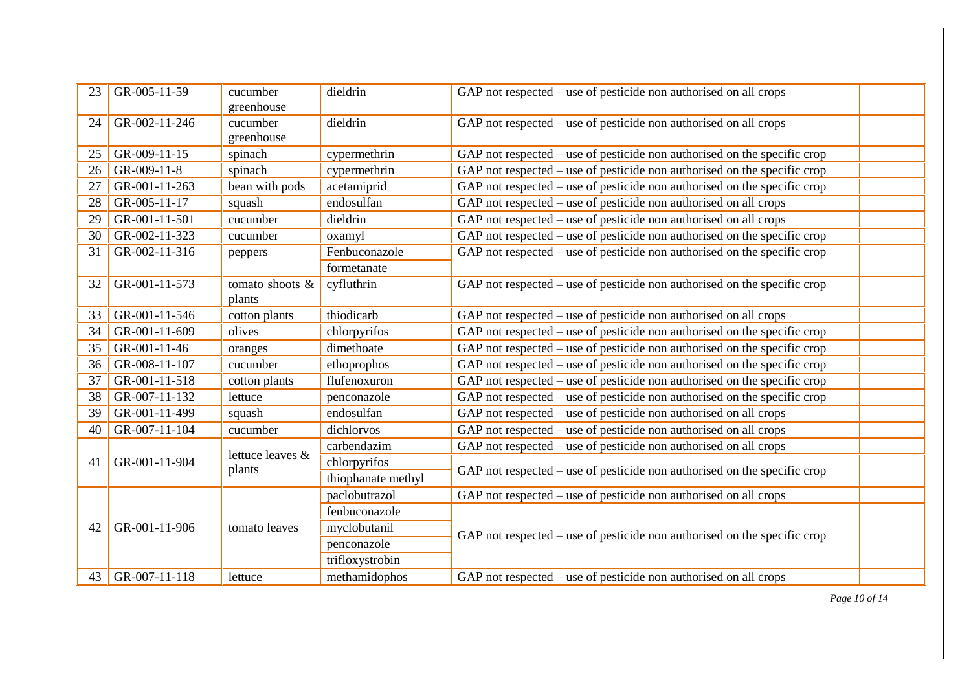| 23              | GR-005-11-59     | cucumber<br>greenhouse    | dieldrin           | GAP not respected $-$ use of pesticide non authorised on all crops         |
|-----------------|------------------|---------------------------|--------------------|----------------------------------------------------------------------------|
| 24              | GR-002-11-246    | cucumber<br>greenhouse    | dieldrin           | GAP not respected $-$ use of pesticide non authorised on all crops         |
| 25              | GR-009-11-15     | spinach                   | cypermethrin       | GAP not respected $-$ use of pesticide non authorised on the specific crop |
| 26              | GR-009-11-8      | spinach                   | cypermethrin       | GAP not respected – use of pesticide non authorised on the specific crop   |
| 27              | GR-001-11-263    | bean with pods            | acetamiprid        | $GAP$ not respected – use of pesticide non authorised on the specific crop |
| 28              | GR-005-11-17     | squash                    | endosulfan         | GAP not respected $-$ use of pesticide non authorised on all crops         |
| 29              | GR-001-11-501    | cucumber                  | dieldrin           | GAP not respected $-$ use of pesticide non authorised on all crops         |
| 30              | GR-002-11-323    | cucumber                  | oxamyl             | $GAP$ not respected – use of pesticide non authorised on the specific crop |
| 31              | GR-002-11-316    | peppers                   | Fenbuconazole      | $GAP$ not respected – use of pesticide non authorised on the specific crop |
|                 |                  |                           | formetanate        |                                                                            |
| 32              | GR-001-11-573    | tomato shoots &<br>plants | cyfluthrin         | $GAP$ not respected – use of pesticide non authorised on the specific crop |
| 33              | GR-001-11-546    | cotton plants             | thiodicarb         | GAP not respected – use of pesticide non authorised on all crops           |
| 34              | GR-001-11-609    | olives                    | chlorpyrifos       | GAP not respected $-$ use of pesticide non authorised on the specific crop |
| 35              | GR-001-11-46     | oranges                   | dimethoate         | GAP not respected $-$ use of pesticide non authorised on the specific crop |
| 36              | GR-008-11-107    | cucumber                  | ethoprophos        | $GAP$ not respected – use of pesticide non authorised on the specific crop |
| 37              | GR-001-11-518    | cotton plants             | flufenoxuron       | $GAP$ not respected – use of pesticide non authorised on the specific crop |
| 38              | GR-007-11-132    | lettuce                   | penconazole        | $GAP$ not respected – use of pesticide non authorised on the specific crop |
| 39              | GR-001-11-499    | squash                    | endosulfan         | GAP not respected – use of pesticide non authorised on all crops           |
| 40 <sup>°</sup> | GR-007-11-104    | cucumber                  | dichlorvos         | GAP not respected $-$ use of pesticide non authorised on all crops         |
|                 |                  | lettuce leaves &          | carbendazim        | GAP not respected – use of pesticide non authorised on all crops           |
| 41              | GR-001-11-904    | plants                    | chlorpyrifos       | $GAP$ not respected – use of pesticide non authorised on the specific crop |
|                 |                  |                           | thiophanate methyl |                                                                            |
|                 |                  |                           | paclobutrazol      | GAP not respected $-$ use of pesticide non authorised on all crops         |
|                 |                  |                           | fenbuconazole      |                                                                            |
| 42              | GR-001-11-906    | tomato leaves             | myclobutanil       | GAP not respected $-$ use of pesticide non authorised on the specific crop |
|                 |                  |                           | penconazole        |                                                                            |
|                 |                  |                           | trifloxystrobin    |                                                                            |
|                 | 43 GR-007-11-118 | lettuce                   | methamidophos      | GAP not respected $-$ use of pesticide non authorised on all crops         |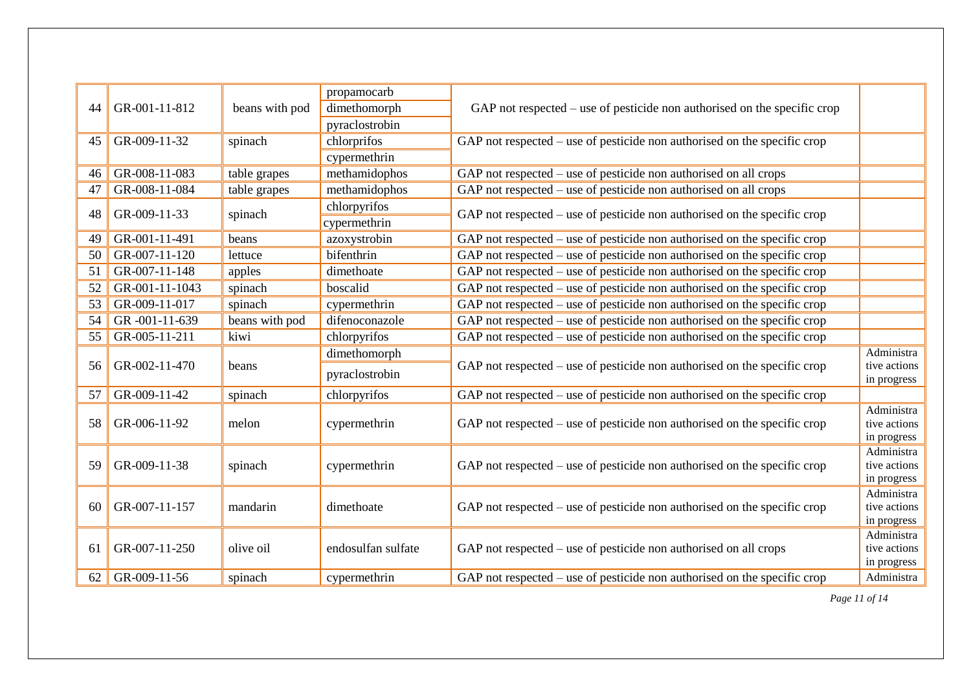|    |                |                | propamocarb        |                                                                            |                           |
|----|----------------|----------------|--------------------|----------------------------------------------------------------------------|---------------------------|
| 44 | GR-001-11-812  | beans with pod | dimethomorph       | GAP not respected $-$ use of pesticide non authorised on the specific crop |                           |
|    |                |                | pyraclostrobin     |                                                                            |                           |
| 45 | GR-009-11-32   | spinach        | chlorprifos        | GAP not respected $-$ use of pesticide non authorised on the specific crop |                           |
|    |                |                | cypermethrin       |                                                                            |                           |
| 46 | GR-008-11-083  | table grapes   | methamidophos      | GAP not respected – use of pesticide non authorised on all crops           |                           |
| 47 | GR-008-11-084  | table grapes   | methamidophos      | GAP not respected $-$ use of pesticide non authorised on all crops         |                           |
| 48 | GR-009-11-33   | spinach        | chlorpyrifos       | GAP not respected $-$ use of pesticide non authorised on the specific crop |                           |
|    |                |                | cypermethrin       |                                                                            |                           |
| 49 | GR-001-11-491  | beans          | azoxystrobin       | $GAP$ not respected – use of pesticide non authorised on the specific crop |                           |
| 50 | GR-007-11-120  | lettuce        | bifenthrin         | GAP not respected $-$ use of pesticide non authorised on the specific crop |                           |
| 51 | GR-007-11-148  | apples         | dimethoate         | GAP not respected – use of pesticide non authorised on the specific crop   |                           |
| 52 | GR-001-11-1043 | spinach        | boscalid           | GAP not respected $-$ use of pesticide non authorised on the specific crop |                           |
| 53 | GR-009-11-017  | spinach        | cypermethrin       | GAP not respected $-$ use of pesticide non authorised on the specific crop |                           |
| 54 | GR-001-11-639  | beans with pod | difenoconazole     | GAP not respected $-$ use of pesticide non authorised on the specific crop |                           |
| 55 | GR-005-11-211  | kiwi           | chlorpyrifos       | GAP not respected $-$ use of pesticide non authorised on the specific crop |                           |
|    |                |                | dimethomorph       |                                                                            | Administra                |
| 56 | GR-002-11-470  | beans          | pyraclostrobin     | $GAP$ not respected – use of pesticide non authorised on the specific crop | tive actions              |
| 57 | GR-009-11-42   | spinach        | chlorpyrifos       | GAP not respected $-$ use of pesticide non authorised on the specific crop | in progress               |
|    |                |                |                    |                                                                            | Administra                |
| 58 | GR-006-11-92   | melon          | cypermethrin       | GAP not respected $-$ use of pesticide non authorised on the specific crop | tive actions              |
|    |                |                |                    |                                                                            | in progress               |
|    |                |                |                    |                                                                            | Administra                |
| 59 | GR-009-11-38   | spinach        | cypermethrin       | $GAP$ not respected – use of pesticide non authorised on the specific crop | tive actions              |
|    |                |                |                    |                                                                            | in progress<br>Administra |
| 60 | GR-007-11-157  | mandarin       | dimethoate         | $GAP$ not respected – use of pesticide non authorised on the specific crop | tive actions              |
|    |                |                |                    |                                                                            | in progress               |
|    |                |                |                    |                                                                            | Administra                |
| 61 | GR-007-11-250  | olive oil      | endosulfan sulfate | GAP not respected – use of pesticide non authorised on all crops           | tive actions              |
|    |                |                |                    |                                                                            | in progress               |
| 62 | GR-009-11-56   | spinach        | cypermethrin       | GAP not respected – use of pesticide non authorised on the specific crop   | Administra                |

*Page 11 of 14*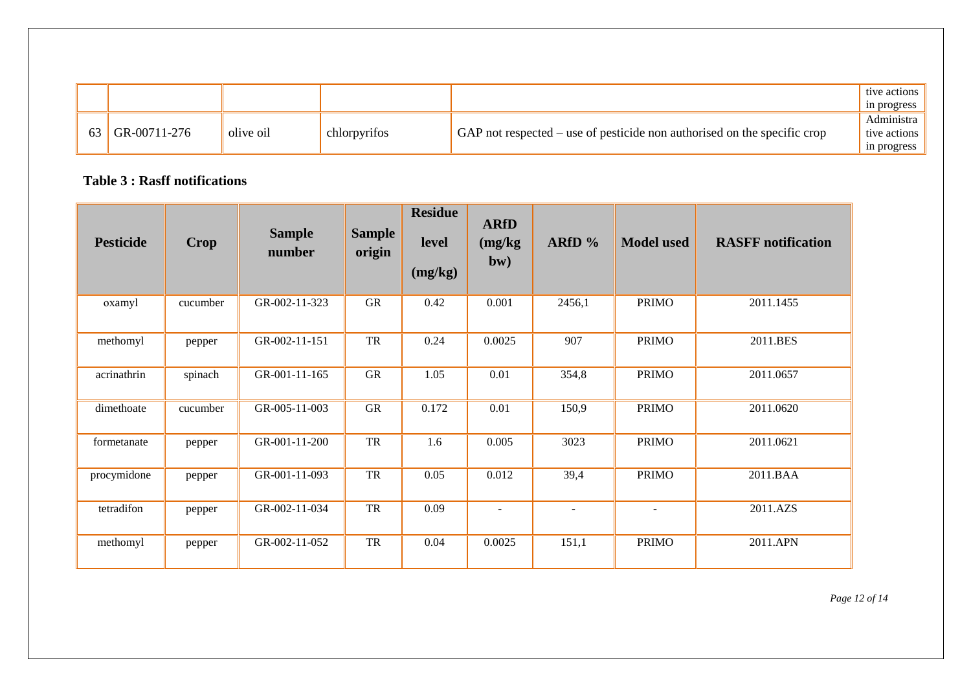|              |           |              |                                                                            | tive actions<br>in progress               |
|--------------|-----------|--------------|----------------------------------------------------------------------------|-------------------------------------------|
| GR-00711-276 | olive oil | :hlorpyrifos | GAP not respected $-$ use of pesticide non authorised on the specific crop | Admınıstra<br>tive actions<br>in progress |

## **Table 3 : Rasff notifications**

| <b>Pesticide</b> | <b>Crop</b> | <b>Sample</b><br>number | <b>Sample</b><br>origin | <b>Residue</b><br>level<br>(mg/kg) | <b>ARfD</b><br>(mg/kg)<br>bw) | ARfD $%$       | <b>Model used</b> | <b>RASFF</b> notification |
|------------------|-------------|-------------------------|-------------------------|------------------------------------|-------------------------------|----------------|-------------------|---------------------------|
| oxamyl           | cucumber    | GR-002-11-323           | <b>GR</b>               | 0.42                               | 0.001                         | 2456,1         | <b>PRIMO</b>      | 2011.1455                 |
| methomyl         | pepper      | GR-002-11-151           | ${\rm TR}$              | 0.24                               | 0.0025                        | 907            | <b>PRIMO</b>      | 2011.BES                  |
| acrinathrin      | spinach     | GR-001-11-165           | ${\rm GR}$              | 1.05                               | 0.01                          | 354,8          | <b>PRIMO</b>      | 2011.0657                 |
| dimethoate       | cucumber    | GR-005-11-003           | <b>GR</b>               | 0.172                              | 0.01                          | 150,9          | <b>PRIMO</b>      | 2011.0620                 |
| formetanate      | pepper      | GR-001-11-200           | ${\rm TR}$              | 1.6                                | 0.005                         | 3023           | <b>PRIMO</b>      | 2011.0621                 |
| procymidone      | pepper      | GR-001-11-093           | TR                      | 0.05                               | 0.012                         | 39,4           | <b>PRIMO</b>      | 2011.BAA                  |
| tetradifon       | pepper      | GR-002-11-034           | TR                      | 0.09                               | $\blacksquare$                | $\blacksquare$ | $\blacksquare$    | 2011.AZS                  |
| methomyl         | pepper      | GR-002-11-052           | TR                      | 0.04                               | 0.0025                        | 151,1          | <b>PRIMO</b>      | 2011.APN                  |

*Page 12 of 14*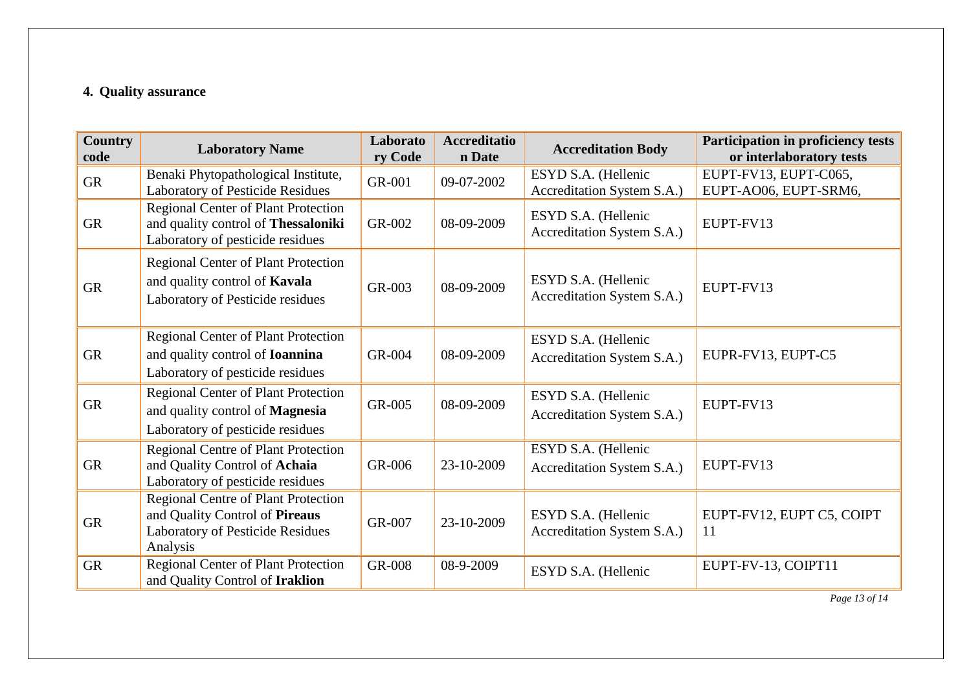### **4. Quality assurance**

| <b>Country</b><br>code | <b>Laboratory Name</b>                                                                                                       | Laborato<br>ry Code | <b>Accreditatio</b><br>n Date | <b>Accreditation Body</b>                         | Participation in proficiency tests<br>or interlaboratory tests |
|------------------------|------------------------------------------------------------------------------------------------------------------------------|---------------------|-------------------------------|---------------------------------------------------|----------------------------------------------------------------|
| <b>GR</b>              | Benaki Phytopathological Institute,<br>Laboratory of Pesticide Residues                                                      | GR-001              | 09-07-2002                    | ESYD S.A. (Hellenic<br>Accreditation System S.A.) | EUPT-FV13, EUPT-C065,<br>EUPT-AO06, EUPT-SRM6,                 |
| <b>GR</b>              | <b>Regional Center of Plant Protection</b><br>and quality control of Thessaloniki<br>Laboratory of pesticide residues        | GR-002              | 08-09-2009                    | ESYD S.A. (Hellenic<br>Accreditation System S.A.) | EUPT-FV13                                                      |
| <b>GR</b>              | <b>Regional Center of Plant Protection</b><br>and quality control of Kavala<br>Laboratory of Pesticide residues              | GR-003              | 08-09-2009                    | ESYD S.A. (Hellenic<br>Accreditation System S.A.) | EUPT-FV13                                                      |
| <b>GR</b>              | <b>Regional Center of Plant Protection</b><br>and quality control of <b>Ioannina</b><br>Laboratory of pesticide residues     | GR-004              | 08-09-2009                    | ESYD S.A. (Hellenic<br>Accreditation System S.A.) | EUPR-FV13, EUPT-C5                                             |
| <b>GR</b>              | <b>Regional Center of Plant Protection</b><br>and quality control of Magnesia<br>Laboratory of pesticide residues            | GR-005              | 08-09-2009                    | ESYD S.A. (Hellenic<br>Accreditation System S.A.) | EUPT-FV13                                                      |
| <b>GR</b>              | <b>Regional Centre of Plant Protection</b><br>and Quality Control of Achaia<br>Laboratory of pesticide residues              | GR-006              | 23-10-2009                    | ESYD S.A. (Hellenic<br>Accreditation System S.A.) | EUPT-FV13                                                      |
| <b>GR</b>              | <b>Regional Centre of Plant Protection</b><br>and Quality Control of Pireaus<br>Laboratory of Pesticide Residues<br>Analysis | GR-007              | 23-10-2009                    | ESYD S.A. (Hellenic<br>Accreditation System S.A.) | EUPT-FV12, EUPT C5, COIPT<br>11                                |
| <b>GR</b>              | <b>Regional Center of Plant Protection</b><br>and Quality Control of Iraklion                                                | <b>GR-008</b>       | 08-9-2009                     | ESYD S.A. (Hellenic                               | EUPT-FV-13, COIPT11                                            |

*Page 13 of 14*